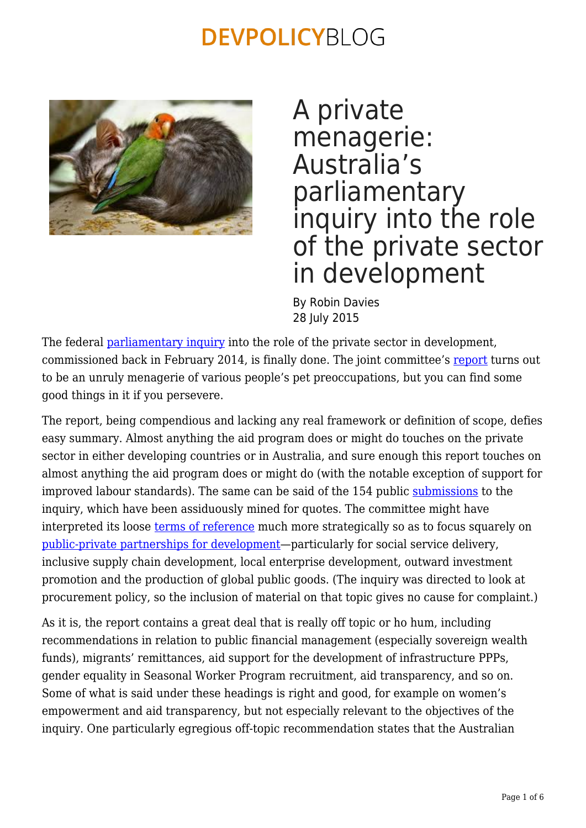

A private menagerie: Australia's parliamentary inquiry into the role of the private sector in development

By Robin Davies 28 July 2015

The federal [parliamentary inquiry](http://www.aph.gov.au/Parliamentary_Business/Committees/Joint/Foreign_Affairs_Defence_and_Trade/Indo-Pacfic_Economic_Growth) into the role of the private sector in development, commissioned back in February 2014, is finally done. The joint committee's [report](http://www.aph.gov.au/Parliamentary_Business/Committees/Joint/Foreign_Affairs_Defence_and_Trade/Indo-Pacfic_Economic_Growth/Report) turns out to be an unruly menagerie of various people's pet preoccupations, but you can find some good things in it if you persevere.

The report, being compendious and lacking any real framework or definition of scope, defies easy summary. Almost anything the aid program does or might do touches on the private sector in either developing countries or in Australia, and sure enough this report touches on almost anything the aid program does or might do (with the notable exception of support for improved labour standards). The same can be said of the 154 public [submissions](http://www.aph.gov.au/Parliamentary_Business/Committees/Joint/Foreign_Affairs_Defence_and_Trade/Indo-Pacfic_Economic_Growth/Submissions) to the inquiry, which have been assiduously mined for quotes. The committee might have interpreted its loose [terms of reference](http://www.aph.gov.au/Parliamentary_Business/Committees/Joint/Foreign_Affairs_Defence_and_Trade/Indo-Pacfic_Economic_Growth/Terms_of_Reference) much more strategically so as to focus squarely on [public-private partnerships for development—](https://devpolicy.org/the-varieties-of-engagement-devpolicys-submission-to-the-parliamentary-inquiry-into-the-role-of-the-private-sector-in-development-20140616/)particularly for social service delivery, inclusive supply chain development, local enterprise development, outward investment promotion and the production of global public goods. (The inquiry was directed to look at procurement policy, so the inclusion of material on that topic gives no cause for complaint.)

As it is, the report contains a great deal that is really off topic or ho hum, including recommendations in relation to public financial management (especially sovereign wealth funds), migrants' remittances, aid support for the development of infrastructure PPPs, gender equality in Seasonal Worker Program recruitment, aid transparency, and so on. Some of what is said under these headings is right and good, for example on women's empowerment and aid transparency, but not especially relevant to the objectives of the inquiry. One particularly egregious off-topic recommendation states that the Australian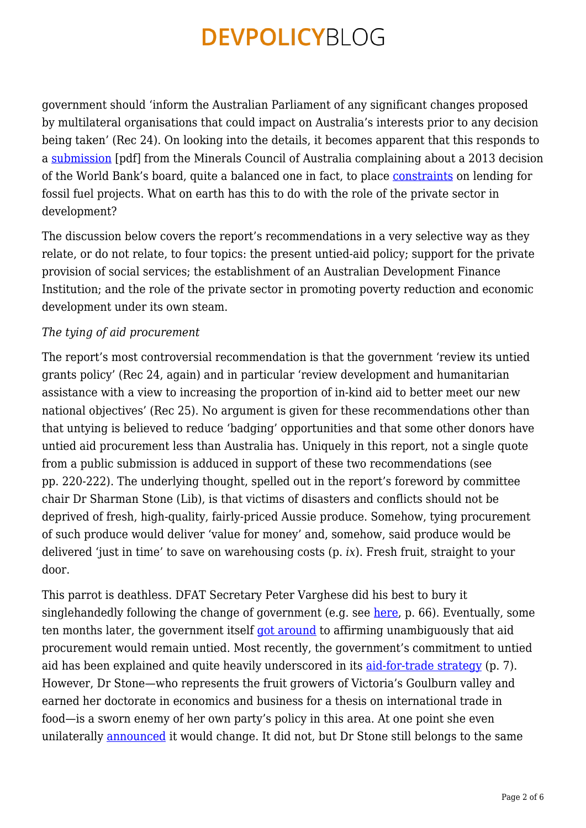government should 'inform the Australian Parliament of any significant changes proposed by multilateral organisations that could impact on Australia's interests prior to any decision being taken' (Rec 24). On looking into the details, it becomes apparent that this responds to a [submission](http://www.aph.gov.au/DocumentStore.ashx?id=2c0336b6-5e14-4128-b74e-752f030b4a82&subId=253176) [pdf] from the Minerals Council of Australia complaining about a 2013 decision of the World Bank's board, quite a balanced one in fact, to place [constraints](http://theconversation.com/world-bank-kicks-coal-but-will-the-rest-of-the-world-follow-16392) on lending for fossil fuel projects. What on earth has this to do with the role of the private sector in development?

The discussion below covers the report's recommendations in a very selective way as they relate, or do not relate, to four topics: the present untied-aid policy; support for the private provision of social services; the establishment of an Australian Development Finance Institution; and the role of the private sector in promoting poverty reduction and economic development under its own steam.

### *The tying of aid procurement*

The report's most controversial recommendation is that the government 'review its untied grants policy' (Rec 24, again) and in particular 'review development and humanitarian assistance with a view to increasing the proportion of in-kind aid to better meet our new national objectives' (Rec 25). No argument is given for these recommendations other than that untying is believed to reduce 'badging' opportunities and that some other donors have untied aid procurement less than Australia has. Uniquely in this report, not a single quote from a public submission is adduced in support of these two recommendations (see pp. 220‑222). The underlying thought, spelled out in the report's foreword by committee chair Dr Sharman Stone (Lib), is that victims of disasters and conflicts should not be deprived of fresh, high-quality, fairly-priced Aussie produce. Somehow, tying procurement of such produce would deliver 'value for money' and, somehow, said produce would be delivered 'just in time' to save on warehousing costs (p. *ix*). Fresh fruit, straight to your door.

This parrot is deathless. DFAT Secretary Peter Varghese did his best to bury it singlehandedly following the change of government (e.g. see [here,](http://parlinfo.aph.gov.au/parlInfo/search/display/display.w3p;query=Id%3A%22committees%2Fcommsen%2F012cc87b-e133-444f-ae72-00497427437a%2F0000%22) p. 66). Eventually, some ten months later, the government itself [got around](https://devpolicy.org/continuity-in-australian-aid-policy-20140707/) to affirming unambiguously that aid procurement would remain untied. Most recently, the government's commitment to untied aid has been explained and quite heavily underscored in its [aid-for-trade strategy](http://dfat.gov.au/about-us/publications/Pages/strategy-for-australias-aid-for-trade-investments.aspx) (p. 7). However, Dr Stone—who represents the fruit growers of Victoria's Goulburn valley and earned her doctorate in economics and business for a thesis on international trade in food—is a sworn enemy of her own party's policy in this area. At one point she even unilaterally [announced](https://devpolicy.org/tinned-fruit-anyone-tied-aid-rides-again-20140611/) it would change. It did not, but Dr Stone still belongs to the same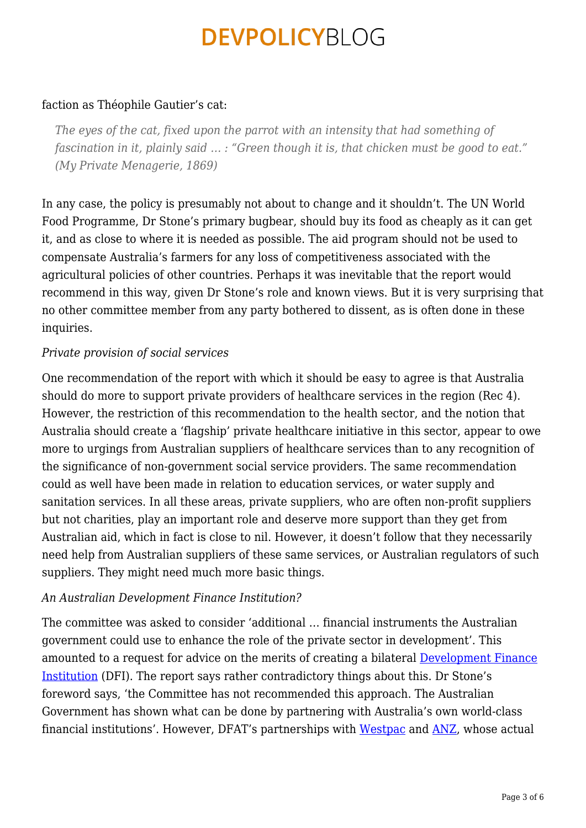### faction as Théophile Gautier's cat:

*The eyes of the cat, fixed upon the parrot with an intensity that had something of fascination in it, plainly said … : "Green though it is, that chicken must be good to eat." (My Private Menagerie, 1869)*

In any case, the policy is presumably not about to change and it shouldn't. The UN World Food Programme, Dr Stone's primary bugbear, should buy its food as cheaply as it can get it, and as close to where it is needed as possible. The aid program should not be used to compensate Australia's farmers for any loss of competitiveness associated with the agricultural policies of other countries. Perhaps it was inevitable that the report would recommend in this way, given Dr Stone's role and known views. But it is very surprising that no other committee member from any party bothered to dissent, as is often done in these inquiries.

### *Private provision of social services*

One recommendation of the report with which it should be easy to agree is that Australia should do more to support private providers of healthcare services in the region (Rec 4). However, the restriction of this recommendation to the health sector, and the notion that Australia should create a 'flagship' private healthcare initiative in this sector, appear to owe more to urgings from Australian suppliers of healthcare services than to any recognition of the significance of non-government social service providers. The same recommendation could as well have been made in relation to education services, or water supply and sanitation services. In all these areas, private suppliers, who are often non-profit suppliers but not charities, play an important role and deserve more support than they get from Australian aid, which in fact is close to nil. However, it doesn't follow that they necessarily need help from Australian suppliers of these same services, or Australian regulators of such suppliers. They might need much more basic things.

#### *An Australian Development Finance Institution?*

The committee was asked to consider 'additional … financial instruments the Australian government could use to enhance the role of the private sector in development'. This amounted to a request for advice on the merits of creating a bilateral [Development Finance](https://devpolicy.org/in-brief/canada-creates-a-bilateral-development-finance-institution-will-australia-follow-suit/) [Institution](https://devpolicy.org/in-brief/canada-creates-a-bilateral-development-finance-institution-will-australia-follow-suit/) (DFI). The report says rather contradictory things about this. Dr Stone's foreword says, 'the Committee has not recommended this approach. The Australian Government has shown what can be done by partnering with Australia's own world-class financial institutions'. However, DFAT's partnerships with [Westpac](http://foreignminister.gov.au/releases/Pages/2014/jb_mr_140908a.aspx?ministerid=4) and [ANZ](http://foreignminister.gov.au/releases/Pages/2015/jb_mr_150218.aspx), whose actual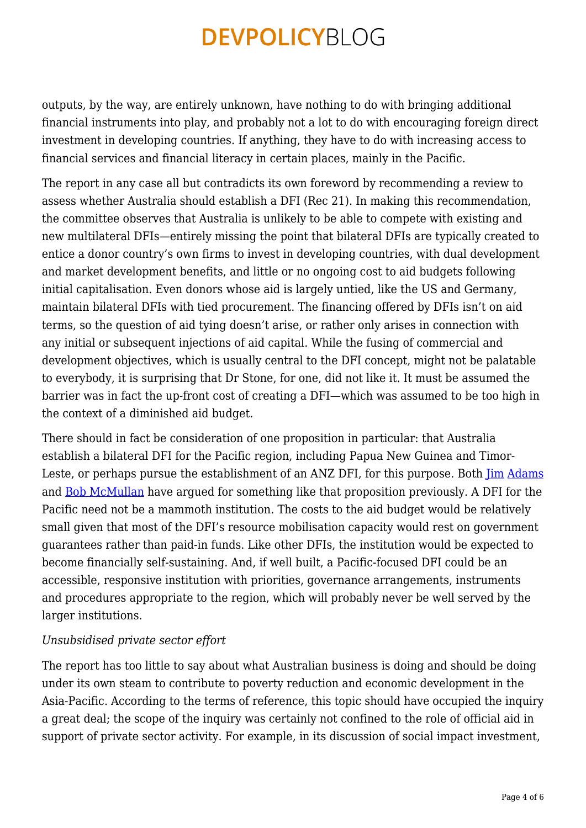outputs, by the way, are entirely unknown, have nothing to do with bringing additional financial instruments into play, and probably not a lot to do with encouraging foreign direct investment in developing countries. If anything, they have to do with increasing access to financial services and financial literacy in certain places, mainly in the Pacific.

The report in any case all but contradicts its own foreword by recommending a review to assess whether Australia should establish a DFI (Rec 21). In making this recommendation, the committee observes that Australia is unlikely to be able to compete with existing and new multilateral DFIs—entirely missing the point that bilateral DFIs are typically created to entice a donor country's own firms to invest in developing countries, with dual development and market development benefits, and little or no ongoing cost to aid budgets following initial capitalisation. Even donors whose aid is largely untied, like the US and Germany, maintain bilateral DFIs with tied procurement. The financing offered by DFIs isn't on aid terms, so the question of aid tying doesn't arise, or rather only arises in connection with any initial or subsequent injections of aid capital. While the fusing of commercial and development objectives, which is usually central to the DFI concept, might not be palatable to everybody, it is surprising that Dr Stone, for one, did not like it. It must be assumed the barrier was in fact the up-front cost of creating a DFI—which was assumed to be too high in the context of a diminished aid budget.

There should in fact be consideration of one proposition in particular: that Australia establish a bilateral DFI for the Pacific region, including Papua New Guinea and Timor-Leste, or perhaps pursue the establishment of an ANZ DFI, for this purpose. Both  $\lim$  [Adams](https://devpolicy.org/private-sector-reservations-and-policies-20150724/) and [Bob McMullan](https://devpolicy.org/development-finance-company-for-australia-and-new-zealand-20140117/) have argued for something like that proposition previously. A DFI for the Pacific need not be a mammoth institution. The costs to the aid budget would be relatively small given that most of the DFI's resource mobilisation capacity would rest on government guarantees rather than paid-in funds. Like other DFIs, the institution would be expected to become financially self-sustaining. And, if well built, a Pacific-focused DFI could be an accessible, responsive institution with priorities, governance arrangements, instruments and procedures appropriate to the region, which will probably never be well served by the larger institutions.

#### *Unsubsidised private sector effort*

The report has too little to say about what Australian business is doing and should be doing under its own steam to contribute to poverty reduction and economic development in the Asia-Pacific. According to the terms of reference, this topic should have occupied the inquiry a great deal; the scope of the inquiry was certainly not confined to the role of official aid in support of private sector activity. For example, in its discussion of social impact investment,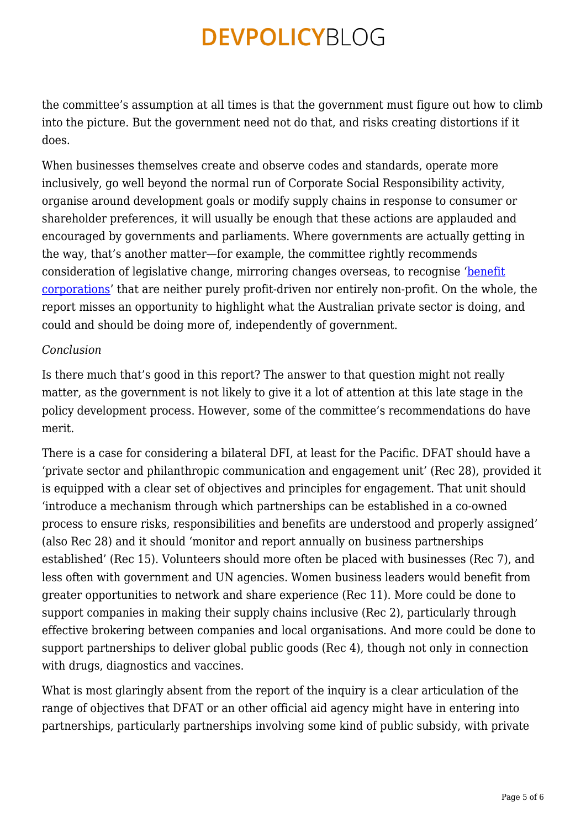the committee's assumption at all times is that the government must figure out how to climb into the picture. But the government need not do that, and risks creating distortions if it does.

When businesses themselves create and observe codes and standards, operate more inclusively, go well beyond the normal run of Corporate Social Responsibility activity, organise around development goals or modify supply chains in response to consumer or shareholder preferences, it will usually be enough that these actions are applauded and encouraged by governments and parliaments. Where governments are actually getting in the way, that's another matter—for example, the committee rightly recommends consideration of legislative change, mirroring changes overseas, to recognise '[benefit](http://www.forbes.com/sites/theyec/2014/05/30/why-consider-a-benefit-corporation/) [corporations](http://www.forbes.com/sites/theyec/2014/05/30/why-consider-a-benefit-corporation/)' that are neither purely profit-driven nor entirely non-profit. On the whole, the report misses an opportunity to highlight what the Australian private sector is doing, and could and should be doing more of, independently of government.

### *Conclusion*

Is there much that's good in this report? The answer to that question might not really matter, as the government is not likely to give it a lot of attention at this late stage in the policy development process. However, some of the committee's recommendations do have merit.

There is a case for considering a bilateral DFI, at least for the Pacific. DFAT should have a 'private sector and philanthropic communication and engagement unit' (Rec 28), provided it is equipped with a clear set of objectives and principles for engagement. That unit should 'introduce a mechanism through which partnerships can be established in a co-owned process to ensure risks, responsibilities and benefits are understood and properly assigned' (also Rec 28) and it should 'monitor and report annually on business partnerships established' (Rec 15). Volunteers should more often be placed with businesses (Rec 7), and less often with government and UN agencies. Women business leaders would benefit from greater opportunities to network and share experience (Rec 11). More could be done to support companies in making their supply chains inclusive (Rec 2), particularly through effective brokering between companies and local organisations. And more could be done to support partnerships to deliver global public goods (Rec 4), though not only in connection with drugs, diagnostics and vaccines.

What is most glaringly absent from the report of the inquiry is a clear articulation of the range of objectives that DFAT or an other official aid agency might have in entering into partnerships, particularly partnerships involving some kind of public subsidy, with private